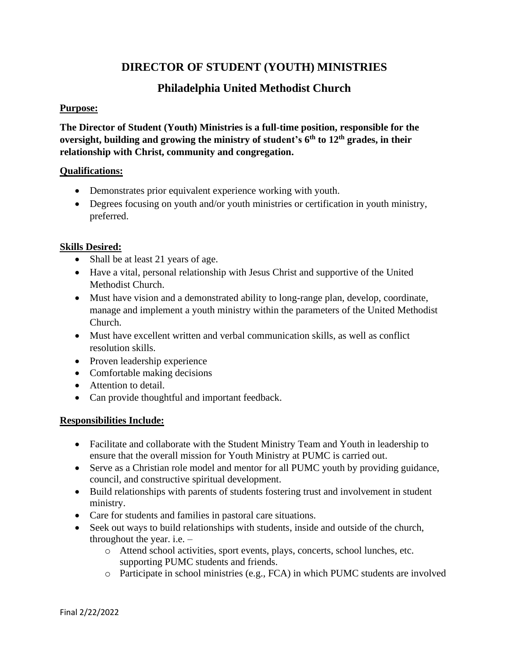## **DIRECTOR OF STUDENT (YOUTH) MINISTRIES**

# **Philadelphia United Methodist Church**

### **Purpose:**

**The Director of Student (Youth) Ministries is a full-time position, responsible for the oversight, building and growing the ministry of student's 6 th to 12th grades, in their relationship with Christ, community and congregation.**

#### **Qualifications:**

- Demonstrates prior equivalent experience working with youth.
- Degrees focusing on youth and/or youth ministries or certification in youth ministry, preferred.

## **Skills Desired:**

- Shall be at least 21 years of age.
- Have a vital, personal relationship with Jesus Christ and supportive of the United Methodist Church.
- Must have vision and a demonstrated ability to long-range plan, develop, coordinate, manage and implement a youth ministry within the parameters of the United Methodist Church.
- Must have excellent written and verbal communication skills, as well as conflict resolution skills.
- Proven leadership experience
- Comfortable making decisions
- Attention to detail.
- Can provide thoughtful and important feedback.

## **Responsibilities Include:**

- Facilitate and collaborate with the Student Ministry Team and Youth in leadership to ensure that the overall mission for Youth Ministry at PUMC is carried out.
- Serve as a Christian role model and mentor for all PUMC youth by providing guidance, council, and constructive spiritual development.
- Build relationships with parents of students fostering trust and involvement in student ministry.
- Care for students and families in pastoral care situations.
- Seek out ways to build relationships with students, inside and outside of the church, throughout the year. i.e. –
	- o Attend school activities, sport events, plays, concerts, school lunches, etc. supporting PUMC students and friends.
	- o Participate in school ministries (e.g., FCA) in which PUMC students are involved